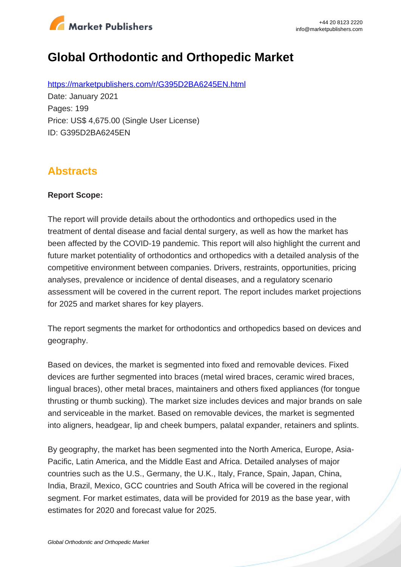

# **Global Orthodontic and Orthopedic Market**

https://marketpublishers.com/r/G395D2BA6245EN.html Date: January 2021 Pages: 199 Price: US\$ 4,675.00 (Single User License) ID: G395D2BA6245EN

### **Abstracts**

#### **Report Scope:**

The report will provide details about the orthodontics and orthopedics used in the treatment of dental disease and facial dental surgery, as well as how the market has been affected by the COVID-19 pandemic. This report will also highlight the current and future market potentiality of orthodontics and orthopedics with a detailed analysis of the competitive environment between companies. Drivers, restraints, opportunities, pricing analyses, prevalence or incidence of dental diseases, and a regulatory scenario assessment will be covered in the current report. The report includes market projections for 2025 and market shares for key players.

The report segments the market for orthodontics and orthopedics based on devices and geography.

Based on devices, the market is segmented into fixed and removable devices. Fixed devices are further segmented into braces (metal wired braces, ceramic wired braces, lingual braces), other metal braces, maintainers and others fixed appliances (for tongue thrusting or thumb sucking). The market size includes devices and major brands on sale and serviceable in the market. Based on removable devices, the market is segmented into aligners, headgear, lip and cheek bumpers, palatal expander, retainers and splints.

By geography, the market has been segmented into the North America, Europe, Asia-Pacific, Latin America, and the Middle East and Africa. Detailed analyses of major countries such as the U.S., Germany, the U.K., Italy, France, Spain, Japan, China, India, Brazil, Mexico, GCC countries and South Africa will be covered in the regional segment. For market estimates, data will be provided for 2019 as the base year, with estimates for 2020 and forecast value for 2025.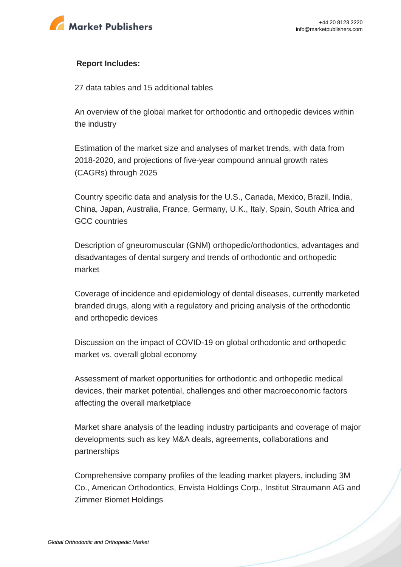

#### **Report Includes:**

27 data tables and 15 additional tables

An overview of the global market for orthodontic and orthopedic devices within the industry

Estimation of the market size and analyses of market trends, with data from 2018-2020, and projections of five-year compound annual growth rates (CAGRs) through 2025

Country specific data and analysis for the U.S., Canada, Mexico, Brazil, India, China, Japan, Australia, France, Germany, U.K., Italy, Spain, South Africa and GCC countries

Description of gneuromuscular (GNM) orthopedic/orthodontics, advantages and disadvantages of dental surgery and trends of orthodontic and orthopedic market

Coverage of incidence and epidemiology of dental diseases, currently marketed branded drugs, along with a regulatory and pricing analysis of the orthodontic and orthopedic devices

Discussion on the impact of COVID-19 on global orthodontic and orthopedic market vs. overall global economy

Assessment of market opportunities for orthodontic and orthopedic medical devices, their market potential, challenges and other macroeconomic factors affecting the overall marketplace

Market share analysis of the leading industry participants and coverage of major developments such as key M&A deals, agreements, collaborations and partnerships

Comprehensive company profiles of the leading market players, including 3M Co., American Orthodontics, Envista Holdings Corp., Institut Straumann AG and Zimmer Biomet Holdings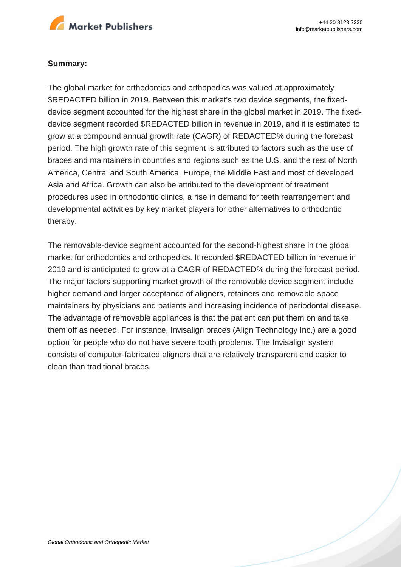

#### **Summary:**

The global market for orthodontics and orthopedics was valued at approximately \$REDACTED billion in 2019. Between this market's two device segments, the fixeddevice segment accounted for the highest share in the global market in 2019. The fixeddevice segment recorded \$REDACTED billion in revenue in 2019, and it is estimated to grow at a compound annual growth rate (CAGR) of REDACTED% during the forecast period. The high growth rate of this segment is attributed to factors such as the use of braces and maintainers in countries and regions such as the U.S. and the rest of North America, Central and South America, Europe, the Middle East and most of developed Asia and Africa. Growth can also be attributed to the development of treatment procedures used in orthodontic clinics, a rise in demand for teeth rearrangement and developmental activities by key market players for other alternatives to orthodontic therapy.

The removable-device segment accounted for the second-highest share in the global market for orthodontics and orthopedics. It recorded \$REDACTED billion in revenue in 2019 and is anticipated to grow at a CAGR of REDACTED% during the forecast period. The major factors supporting market growth of the removable device segment include higher demand and larger acceptance of aligners, retainers and removable space maintainers by physicians and patients and increasing incidence of periodontal disease. The advantage of removable appliances is that the patient can put them on and take them off as needed. For instance, Invisalign braces (Align Technology Inc.) are a good option for people who do not have severe tooth problems. The Invisalign system consists of computer-fabricated aligners that are relatively transparent and easier to clean than traditional braces.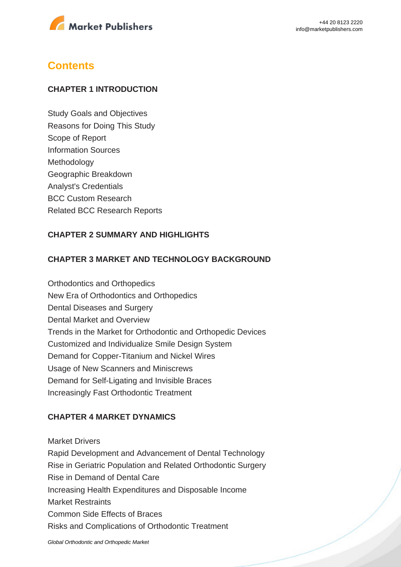

### **Contents**

#### **CHAPTER 1 INTRODUCTION**

Study Goals and Objectives Reasons for Doing This Study Scope of Report Information Sources Methodology Geographic Breakdown Analyst's Credentials BCC Custom Research Related BCC Research Reports

#### **CHAPTER 2 SUMMARY AND HIGHLIGHTS**

#### **CHAPTER 3 MARKET AND TECHNOLOGY BACKGROUND**

Orthodontics and Orthopedics New Era of Orthodontics and Orthopedics Dental Diseases and Surgery Dental Market and Overview Trends in the Market for Orthodontic and Orthopedic Devices Customized and Individualize Smile Design System Demand for Copper-Titanium and Nickel Wires Usage of New Scanners and Miniscrews Demand for Self-Ligating and Invisible Braces Increasingly Fast Orthodontic Treatment

#### **CHAPTER 4 MARKET DYNAMICS**

Market Drivers Rapid Development and Advancement of Dental Technology Rise in Geriatric Population and Related Orthodontic Surgery Rise in Demand of Dental Care Increasing Health Expenditures and Disposable Income Market Restraints Common Side Effects of Braces Risks and Complications of Orthodontic Treatment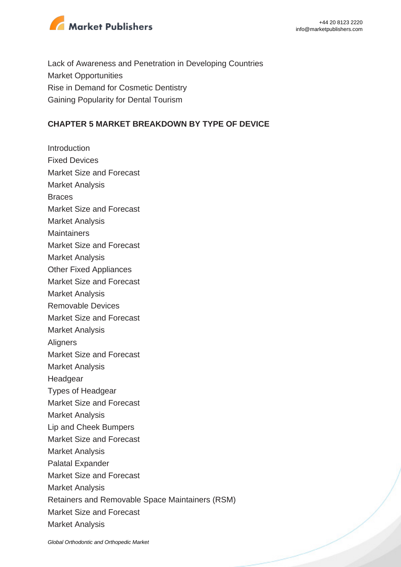

Lack of Awareness and Penetration in Developing Countries Market Opportunities Rise in Demand for Cosmetic Dentistry Gaining Popularity for Dental Tourism

#### **CHAPTER 5 MARKET BREAKDOWN BY TYPE OF DEVICE**

**Introduction** Fixed Devices Market Size and Forecast Market Analysis **Braces** Market Size and Forecast Market Analysis **Maintainers** Market Size and Forecast Market Analysis Other Fixed Appliances Market Size and Forecast Market Analysis Removable Devices Market Size and Forecast Market Analysis **Aligners** Market Size and Forecast Market Analysis Headgear Types of Headgear Market Size and Forecast Market Analysis Lip and Cheek Bumpers Market Size and Forecast Market Analysis Palatal Expander Market Size and Forecast Market Analysis Retainers and Removable Space Maintainers (RSM) Market Size and Forecast Market Analysis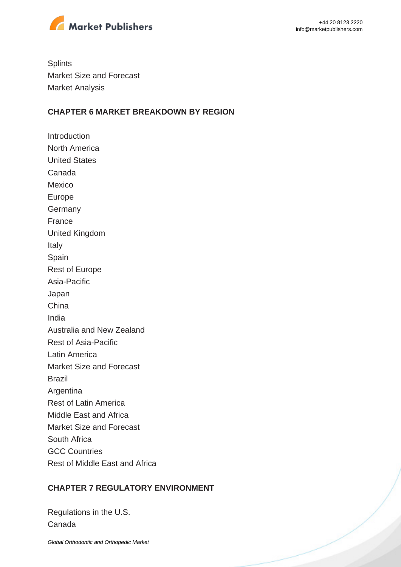

**Splints** Market Size and Forecast Market Analysis

#### **CHAPTER 6 MARKET BREAKDOWN BY REGION**

**Introduction** North America United States Canada Mexico Europe **Germany** France United Kingdom Italy Spain Rest of Europe Asia-Pacific Japan China India Australia and New Zealand Rest of Asia-Pacific Latin America Market Size and Forecast Brazil Argentina Rest of Latin America Middle East and Africa Market Size and Forecast South Africa GCC Countries Rest of Middle East and Africa

#### **CHAPTER 7 REGULATORY ENVIRONMENT**

Regulations in the U.S. Canada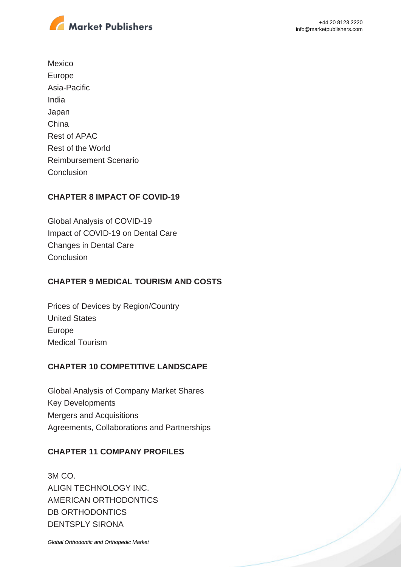

Mexico Europe Asia-Pacific India Japan China Rest of APAC Rest of the World Reimbursement Scenario **Conclusion** 

#### **CHAPTER 8 IMPACT OF COVID-19**

Global Analysis of COVID-19 Impact of COVID-19 on Dental Care Changes in Dental Care **Conclusion** 

#### **CHAPTER 9 MEDICAL TOURISM AND COSTS**

Prices of Devices by Region/Country United States Europe Medical Tourism

#### **CHAPTER 10 COMPETITIVE LANDSCAPE**

Global Analysis of Company Market Shares Key Developments Mergers and Acquisitions Agreements, Collaborations and Partnerships

#### **CHAPTER 11 COMPANY PROFILES**

3M CO. ALIGN TECHNOLOGY INC. AMERICAN ORTHODONTICS DB ORTHODONTICS DENTSPLY SIRONA

[Global Orthodontic and Orthopedic Market](https://marketpublishers.com/report/medical_devices/orthopedic/global-orthodontic-n-orthopedic-market.html)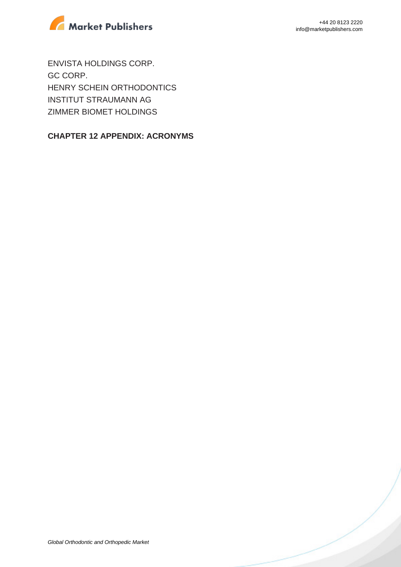

ENVISTA HOLDINGS CORP. GC CORP. HENRY SCHEIN ORTHODONTICS INSTITUT STRAUMANN AG ZIMMER BIOMET HOLDINGS

#### **CHAPTER 12 APPENDIX: ACRONYMS**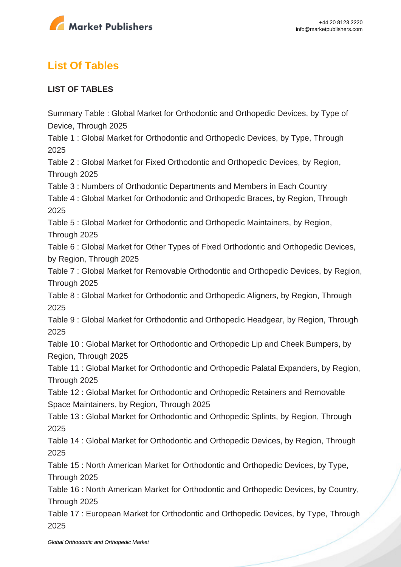

## **List Of Tables**

#### **LIST OF TABLES**

Summary Table : Global Market for Orthodontic and Orthopedic Devices, by Type of Device, Through 2025 Table 1 : Global Market for Orthodontic and Orthopedic Devices, by Type, Through 2025 Table 2 : Global Market for Fixed Orthodontic and Orthopedic Devices, by Region, Through 2025 Table 3 : Numbers of Orthodontic Departments and Members in Each Country Table 4 : Global Market for Orthodontic and Orthopedic Braces, by Region, Through 2025 Table 5 : Global Market for Orthodontic and Orthopedic Maintainers, by Region, Through 2025 Table 6 : Global Market for Other Types of Fixed Orthodontic and Orthopedic Devices, by Region, Through 2025 Table 7 : Global Market for Removable Orthodontic and Orthopedic Devices, by Region, Through 2025 Table 8 : Global Market for Orthodontic and Orthopedic Aligners, by Region, Through 2025 Table 9 : Global Market for Orthodontic and Orthopedic Headgear, by Region, Through 2025 Table 10 : Global Market for Orthodontic and Orthopedic Lip and Cheek Bumpers, by Region, Through 2025 Table 11 : Global Market for Orthodontic and Orthopedic Palatal Expanders, by Region, Through 2025 Table 12 : Global Market for Orthodontic and Orthopedic Retainers and Removable Space Maintainers, by Region, Through 2025 Table 13 : Global Market for Orthodontic and Orthopedic Splints, by Region, Through 2025 Table 14 : Global Market for Orthodontic and Orthopedic Devices, by Region, Through 2025 Table 15 : North American Market for Orthodontic and Orthopedic Devices, by Type, Through 2025 Table 16 : North American Market for Orthodontic and Orthopedic Devices, by Country, Through 2025 Table 17 : European Market for Orthodontic and Orthopedic Devices, by Type, Through 2025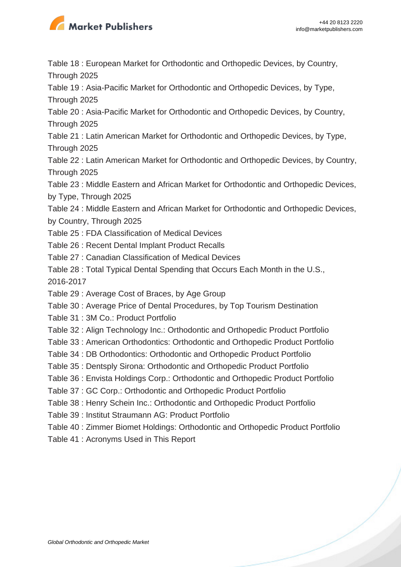

Table 18 : European Market for Orthodontic and Orthopedic Devices, by Country,

Through 2025

Table 19 : Asia-Pacific Market for Orthodontic and Orthopedic Devices, by Type, Through 2025

Table 20 : Asia-Pacific Market for Orthodontic and Orthopedic Devices, by Country,

Through 2025

Table 21 : Latin American Market for Orthodontic and Orthopedic Devices, by Type, Through 2025

Table 22 : Latin American Market for Orthodontic and Orthopedic Devices, by Country, Through 2025

Table 23 : Middle Eastern and African Market for Orthodontic and Orthopedic Devices, by Type, Through 2025

Table 24 : Middle Eastern and African Market for Orthodontic and Orthopedic Devices, by Country, Through 2025

- Table 25 : FDA Classification of Medical Devices
- Table 26 : Recent Dental Implant Product Recalls
- Table 27 : Canadian Classification of Medical Devices
- Table 28 : Total Typical Dental Spending that Occurs Each Month in the U.S.,

2016-2017

- Table 29 : Average Cost of Braces, by Age Group
- Table 30 : Average Price of Dental Procedures, by Top Tourism Destination
- Table 31 : 3M Co.: Product Portfolio
- Table 32 : Align Technology Inc.: Orthodontic and Orthopedic Product Portfolio
- Table 33 : American Orthodontics: Orthodontic and Orthopedic Product Portfolio
- Table 34 : DB Orthodontics: Orthodontic and Orthopedic Product Portfolio
- Table 35 : Dentsply Sirona: Orthodontic and Orthopedic Product Portfolio
- Table 36 : Envista Holdings Corp.: Orthodontic and Orthopedic Product Portfolio
- Table 37 : GC Corp.: Orthodontic and Orthopedic Product Portfolio
- Table 38 : Henry Schein Inc.: Orthodontic and Orthopedic Product Portfolio
- Table 39 : Institut Straumann AG: Product Portfolio
- Table 40 : Zimmer Biomet Holdings: Orthodontic and Orthopedic Product Portfolio
- Table 41 : Acronyms Used in This Report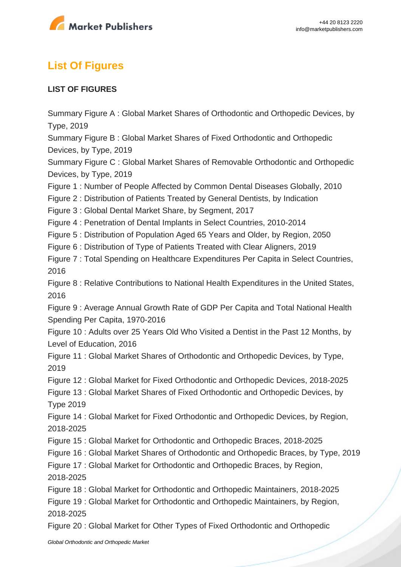

## **List Of Figures**

#### **LIST OF FIGURES**

Summary Figure A : Global Market Shares of Orthodontic and Orthopedic Devices, by Type, 2019

Summary Figure B : Global Market Shares of Fixed Orthodontic and Orthopedic Devices, by Type, 2019

Summary Figure C : Global Market Shares of Removable Orthodontic and Orthopedic Devices, by Type, 2019

Figure 1 : Number of People Affected by Common Dental Diseases Globally, 2010

Figure 2 : Distribution of Patients Treated by General Dentists, by Indication

Figure 3 : Global Dental Market Share, by Segment, 2017

Figure 4 : Penetration of Dental Implants in Select Countries, 2010-2014

Figure 5 : Distribution of Population Aged 65 Years and Older, by Region, 2050

Figure 6 : Distribution of Type of Patients Treated with Clear Aligners, 2019

Figure 7 : Total Spending on Healthcare Expenditures Per Capita in Select Countries, 2016

Figure 8 : Relative Contributions to National Health Expenditures in the United States, 2016

Figure 9 : Average Annual Growth Rate of GDP Per Capita and Total National Health Spending Per Capita, 1970-2016

Figure 10 : Adults over 25 Years Old Who Visited a Dentist in the Past 12 Months, by Level of Education, 2016

Figure 11 : Global Market Shares of Orthodontic and Orthopedic Devices, by Type, 2019

Figure 12 : Global Market for Fixed Orthodontic and Orthopedic Devices, 2018-2025

Figure 13 : Global Market Shares of Fixed Orthodontic and Orthopedic Devices, by Type 2019

Figure 14 : Global Market for Fixed Orthodontic and Orthopedic Devices, by Region, 2018-2025

Figure 15 : Global Market for Orthodontic and Orthopedic Braces, 2018-2025

Figure 16 : Global Market Shares of Orthodontic and Orthopedic Braces, by Type, 2019

Figure 17 : Global Market for Orthodontic and Orthopedic Braces, by Region, 2018-2025

Figure 18 : Global Market for Orthodontic and Orthopedic Maintainers, 2018-2025

Figure 19 : Global Market for Orthodontic and Orthopedic Maintainers, by Region, 2018-2025

Figure 20 : Global Market for Other Types of Fixed Orthodontic and Orthopedic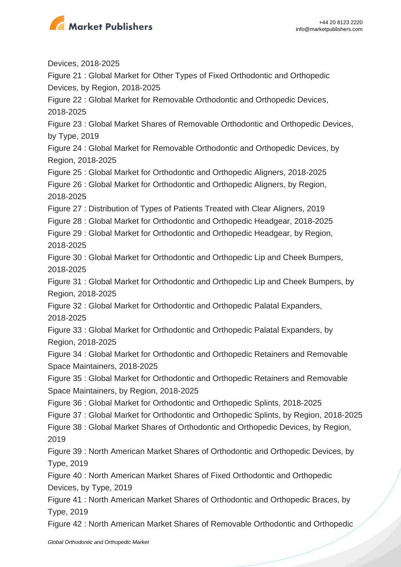

Devices, 2018-2025

Figure 21 : Global Market for Other Types of Fixed Orthodontic and Orthopedic Devices, by Region, 2018-2025

Figure 22 : Global Market for Removable Orthodontic and Orthopedic Devices, 2018-2025

Figure 23 : Global Market Shares of Removable Orthodontic and Orthopedic Devices, by Type, 2019

Figure 24 : Global Market for Removable Orthodontic and Orthopedic Devices, by Region, 2018-2025

Figure 25 : Global Market for Orthodontic and Orthopedic Aligners, 2018-2025

Figure 26 : Global Market for Orthodontic and Orthopedic Aligners, by Region, 2018-2025

Figure 27 : Distribution of Types of Patients Treated with Clear Aligners, 2019

Figure 28 : Global Market for Orthodontic and Orthopedic Headgear, 2018-2025

Figure 29 : Global Market for Orthodontic and Orthopedic Headgear, by Region, 2018-2025

Figure 30 : Global Market for Orthodontic and Orthopedic Lip and Cheek Bumpers, 2018-2025

Figure 31 : Global Market for Orthodontic and Orthopedic Lip and Cheek Bumpers, by Region, 2018-2025

Figure 32 : Global Market for Orthodontic and Orthopedic Palatal Expanders, 2018-2025

Figure 33 : Global Market for Orthodontic and Orthopedic Palatal Expanders, by Region, 2018-2025

Figure 34 : Global Market for Orthodontic and Orthopedic Retainers and Removable Space Maintainers, 2018-2025

Figure 35 : Global Market for Orthodontic and Orthopedic Retainers and Removable Space Maintainers, by Region, 2018-2025

Figure 36 : Global Market for Orthodontic and Orthopedic Splints, 2018-2025

Figure 37 : Global Market for Orthodontic and Orthopedic Splints, by Region, 2018-2025

Figure 38 : Global Market Shares of Orthodontic and Orthopedic Devices, by Region, 2019

Figure 39 : North American Market Shares of Orthodontic and Orthopedic Devices, by Type, 2019

Figure 40 : North American Market Shares of Fixed Orthodontic and Orthopedic Devices, by Type, 2019

Figure 41 : North American Market Shares of Orthodontic and Orthopedic Braces, by Type, 2019

Figure 42 : North American Market Shares of Removable Orthodontic and Orthopedic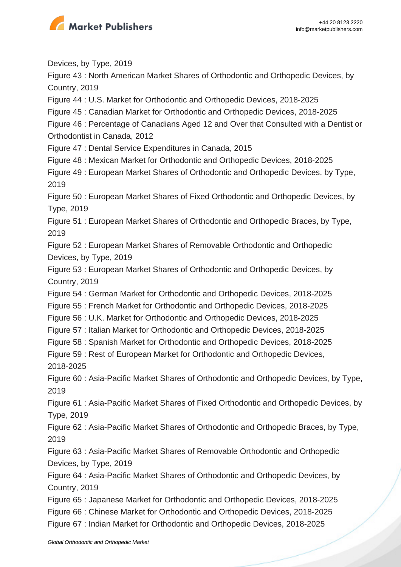

Devices, by Type, 2019 Figure 43 : North American Market Shares of Orthodontic and Orthopedic Devices, by Country, 2019 Figure 44 : U.S. Market for Orthodontic and Orthopedic Devices, 2018-2025 Figure 45 : Canadian Market for Orthodontic and Orthopedic Devices, 2018-2025 Figure 46 : Percentage of Canadians Aged 12 and Over that Consulted with a Dentist or Orthodontist in Canada, 2012 Figure 47 : Dental Service Expenditures in Canada, 2015 Figure 48 : Mexican Market for Orthodontic and Orthopedic Devices, 2018-2025 Figure 49 : European Market Shares of Orthodontic and Orthopedic Devices, by Type, 2019 Figure 50 : European Market Shares of Fixed Orthodontic and Orthopedic Devices, by Type, 2019 Figure 51 : European Market Shares of Orthodontic and Orthopedic Braces, by Type, 2019 Figure 52 : European Market Shares of Removable Orthodontic and Orthopedic Devices, by Type, 2019 Figure 53 : European Market Shares of Orthodontic and Orthopedic Devices, by Country, 2019 Figure 54 : German Market for Orthodontic and Orthopedic Devices, 2018-2025 Figure 55 : French Market for Orthodontic and Orthopedic Devices, 2018-2025 Figure 56 : U.K. Market for Orthodontic and Orthopedic Devices, 2018-2025 Figure 57 : Italian Market for Orthodontic and Orthopedic Devices, 2018-2025 Figure 58 : Spanish Market for Orthodontic and Orthopedic Devices, 2018-2025 Figure 59 : Rest of European Market for Orthodontic and Orthopedic Devices, 2018-2025 Figure 60 : Asia-Pacific Market Shares of Orthodontic and Orthopedic Devices, by Type, 2019 Figure 61 : Asia-Pacific Market Shares of Fixed Orthodontic and Orthopedic Devices, by Type, 2019 Figure 62 : Asia-Pacific Market Shares of Orthodontic and Orthopedic Braces, by Type, 2019 Figure 63 : Asia-Pacific Market Shares of Removable Orthodontic and Orthopedic Devices, by Type, 2019 Figure 64 : Asia-Pacific Market Shares of Orthodontic and Orthopedic Devices, by Country, 2019 Figure 65 : Japanese Market for Orthodontic and Orthopedic Devices, 2018-2025 Figure 66 : Chinese Market for Orthodontic and Orthopedic Devices, 2018-2025 Figure 67 : Indian Market for Orthodontic and Orthopedic Devices, 2018-2025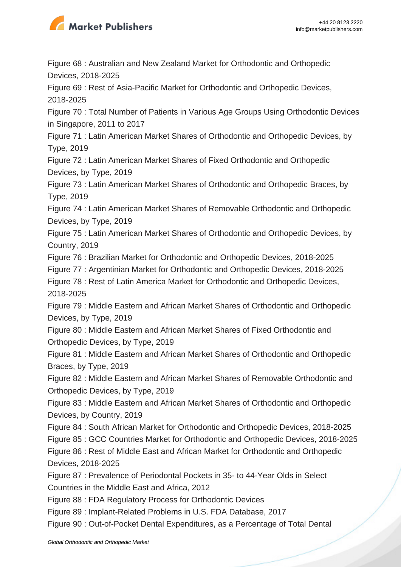

Figure 68 : Australian and New Zealand Market for Orthodontic and Orthopedic Devices, 2018-2025

Figure 69 : Rest of Asia-Pacific Market for Orthodontic and Orthopedic Devices, 2018-2025

Figure 70 : Total Number of Patients in Various Age Groups Using Orthodontic Devices in Singapore, 2011 to 2017

Figure 71 : Latin American Market Shares of Orthodontic and Orthopedic Devices, by Type, 2019

Figure 72 : Latin American Market Shares of Fixed Orthodontic and Orthopedic Devices, by Type, 2019

Figure 73 : Latin American Market Shares of Orthodontic and Orthopedic Braces, by Type, 2019

Figure 74 : Latin American Market Shares of Removable Orthodontic and Orthopedic Devices, by Type, 2019

Figure 75 : Latin American Market Shares of Orthodontic and Orthopedic Devices, by Country, 2019

Figure 76 : Brazilian Market for Orthodontic and Orthopedic Devices, 2018-2025

Figure 77 : Argentinian Market for Orthodontic and Orthopedic Devices, 2018-2025

Figure 78 : Rest of Latin America Market for Orthodontic and Orthopedic Devices, 2018-2025

Figure 79 : Middle Eastern and African Market Shares of Orthodontic and Orthopedic Devices, by Type, 2019

Figure 80 : Middle Eastern and African Market Shares of Fixed Orthodontic and Orthopedic Devices, by Type, 2019

Figure 81 : Middle Eastern and African Market Shares of Orthodontic and Orthopedic Braces, by Type, 2019

Figure 82 : Middle Eastern and African Market Shares of Removable Orthodontic and Orthopedic Devices, by Type, 2019

Figure 83 : Middle Eastern and African Market Shares of Orthodontic and Orthopedic Devices, by Country, 2019

Figure 84 : South African Market for Orthodontic and Orthopedic Devices, 2018-2025

Figure 85 : GCC Countries Market for Orthodontic and Orthopedic Devices, 2018-2025

Figure 86 : Rest of Middle East and African Market for Orthodontic and Orthopedic Devices, 2018-2025

Figure 87 : Prevalence of Periodontal Pockets in 35- to 44-Year Olds in Select Countries in the Middle East and Africa, 2012

Figure 88 : FDA Regulatory Process for Orthodontic Devices

Figure 89 : Implant-Related Problems in U.S. FDA Database, 2017

Figure 90 : Out-of-Pocket Dental Expenditures, as a Percentage of Total Dental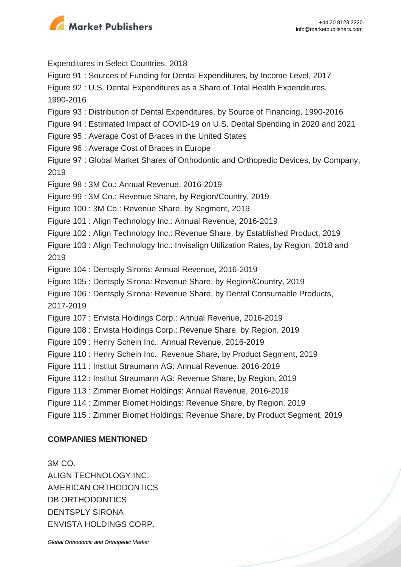

Expenditures in Select Countries, 2018 Figure 91 : Sources of Funding for Dental Expenditures, by Income Level, 2017 Figure 92 : U.S. Dental Expenditures as a Share of Total Health Expenditures, 1990-2016 Figure 93 : Distribution of Dental Expenditures, by Source of Financing, 1990-2016 Figure 94 : Estimated Impact of COVID-19 on U.S. Dental Spending in 2020 and 2021 Figure 95 : Average Cost of Braces in the United States Figure 96 : Average Cost of Braces in Europe Figure 97 : Global Market Shares of Orthodontic and Orthopedic Devices, by Company, 2019 Figure 98 : 3M Co.: Annual Revenue, 2016-2019 Figure 99 : 3M Co.: Revenue Share, by Region/Country, 2019 Figure 100 : 3M Co.: Revenue Share, by Segment, 2019 Figure 101 : Align Technology Inc.: Annual Revenue, 2016-2019 Figure 102 : Align Technology Inc.: Revenue Share, by Established Product, 2019 Figure 103 : Align Technology Inc.: Invisalign Utilization Rates, by Region, 2018 and 2019 Figure 104 : Dentsply Sirona: Annual Revenue, 2016-2019 Figure 105 : Dentsply Sirona: Revenue Share, by Region/Country, 2019 Figure 106 : Dentsply Sirona: Revenue Share, by Dental Consumable Products, 2017-2019 Figure 107 : Envista Holdings Corp.: Annual Revenue, 2016-2019 Figure 108 : Envista Holdings Corp.: Revenue Share, by Region, 2019 Figure 109 : Henry Schein Inc.: Annual Revenue, 2016-2019 Figure 110 : Henry Schein Inc.: Revenue Share, by Product Segment, 2019 Figure 111 : Institut Straumann AG: Annual Revenue, 2016-2019 Figure 112 : Institut Straumann AG: Revenue Share, by Region, 2019 Figure 113 : Zimmer Biomet Holdings: Annual Revenue, 2016-2019 Figure 114 : Zimmer Biomet Holdings: Revenue Share, by Region, 2019 Figure 115 : Zimmer Biomet Holdings: Revenue Share, by Product Segment, 2019

#### **COMPANIES MENTIONED**

3M CO. ALIGN TECHNOLOGY INC. AMERICAN ORTHODONTICS DB ORTHODONTICS DENTSPLY SIRONA ENVISTA HOLDINGS CORP.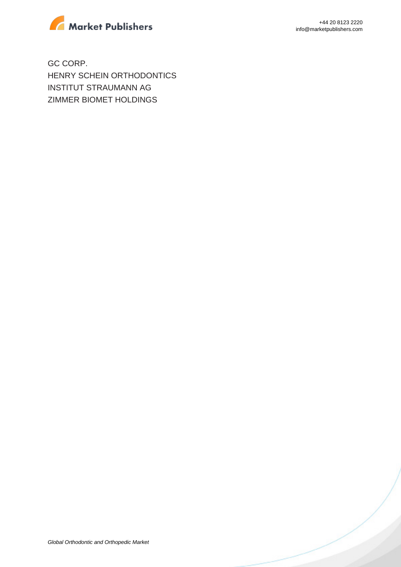

+44 20 8123 2220 info@marketpublishers.com

GC CORP. HENRY SCHEIN ORTHODONTICS INSTITUT STRAUMANN AG ZIMMER BIOMET HOLDINGS